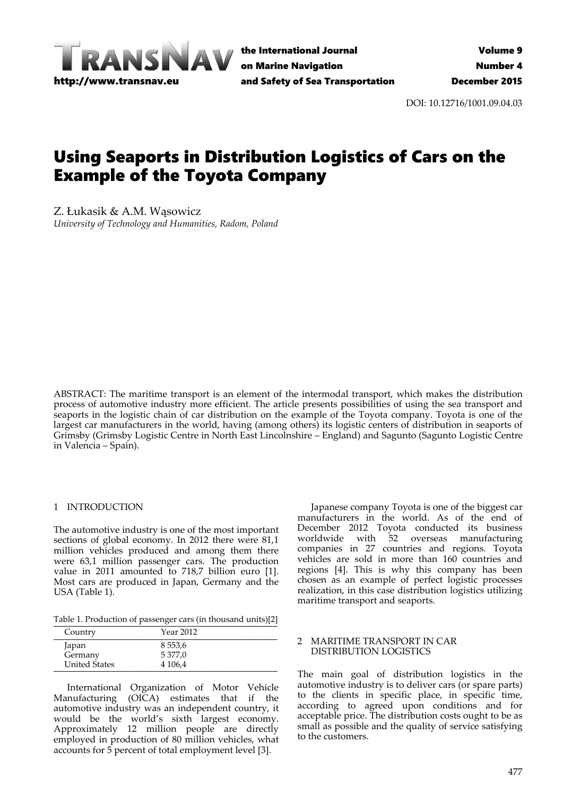

the International Journal on Marine Navigation and Safety of Sea Transportation

DOI: 10.12716/1001.09.04.03

# Using Seaports in Distribution Logistics of Cars on the Example of the Toyota Company

Z. Łukasik & A.M. Wąsowicz *University of Technology and Humanities, Radom, Poland*

ABSTRACT: The maritime transport is an element of the intermodal transport, which makes the distribution process of automotive industry more efficient. The article presents possibilities of using the sea transport and seaports in the logistic chain of car distribution on the example of the Toyota company. Toyota is one of the largest car manufacturers in the world, having (among others) its logistic centers of distribution in seaports of Grimsby (Grimsby Logistic Centre in North East Lincolnshire – England) and Sagunto (Sagunto Logistic Centre in Valencia – Spain).

### 1 INTRODUCTION

The automotive industry is one of the most important sections of global economy. In 2012 there were 81,1 million vehicles produced and among them there were 63,1 million passenger cars. The production value in 2011 amounted to 718,7 billion euro [1]. Most cars are produced in Japan, Germany and the USA (Table 1).

Table 1. Production of passenger cars (in thousand units)[2]

| Country              | Year 2012  |  |
|----------------------|------------|--|
| Japan                | 8 5 5 3, 6 |  |
| Germany              | 5 377,0    |  |
| <b>United States</b> | 4 106,4    |  |

International Organization of Motor Vehicle Manufacturing (OICA) estimates that if the automotive industry was an independent country, it would be the world's sixth largest economy. Approximately 12 million people are directly employed in production of 80 million vehicles, what accounts for 5 percent of total employment level [3].

Japanese company Toyota is one of the biggest car manufacturers in the world. As of the end of December 2012 Toyota conducted its business worldwide with 52 overseas manufacturing companies in 27 countries and regions. Toyota vehicles are sold in more than 160 countries and regions [4]. This is why this company has been chosen as an example of perfect logistic processes realization, in this case distribution logistics utilizing maritime transport and seaports.

# 2 MARITIME TRANSPORT IN CAR DISTRIBUTION LOGISTICS

The main goal of distribution logistics in the automotive industry is to deliver cars (or spare parts) to the clients in specific place, in specific time, according to agreed upon conditions and for acceptable price. The distribution costs ought to be as small as possible and the quality of service satisfying to the customers.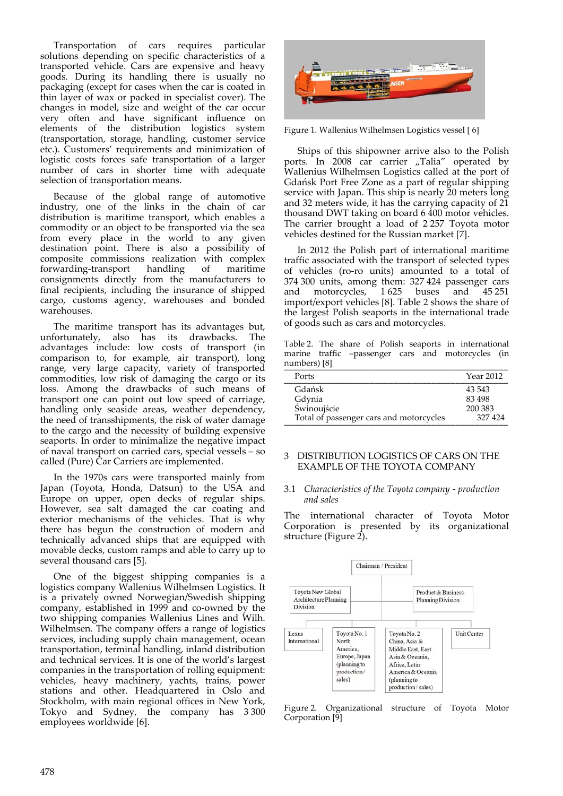Transportation of cars requires particular solutions depending on specific characteristics of a transported vehicle. Cars are expensive and heavy goods. During its handling there is usually no packaging (except for cases when the car is coated in thin layer of wax or packed in specialist cover). The changes in model, size and weight of the car occur very often and have significant influence on elements of the distribution logistics system (transportation, storage, handling, customer service etc.). Customers' requirements and minimization of logistic costs forces safe transportation of a larger number of cars in shorter time with adequate selection of transportation means.

Because of the global range of automotive industry, one of the links in the chain of car distribution is maritime transport, which enables a commodity or an object to be transported via the sea from every place in the world to any given destination point. There is also a possibility of composite commissions realization with complex forwarding‐transport handling of maritime consignments directly from the manufacturers to final recipients, including the insurance of shipped cargo, customs agency, warehouses and bonded warehouses.

The maritime transport has its advantages but, unfortunately, also has its drawbacks. The advantages include: low costs of transport (in comparison to, for example, air transport), long range, very large capacity, variety of transported commodities, low risk of damaging the cargo or its loss. Among the drawbacks of such means of transport one can point out low speed of carriage, handling only seaside areas, weather dependency, the need of transshipments, the risk of water damage to the cargo and the necessity of building expensive seaports. In order to minimalize the negative impact of naval transport on carried cars, special vessels – so called (Pure) Car Carriers are implemented.

In the 1970s cars were transported mainly from Japan (Toyota, Honda, Datsun) to the USA and Europe on upper, open decks of regular ships. However, sea salt damaged the car coating and exterior mechanisms of the vehicles. That is why there has begun the construction of modern and technically advanced ships that are equipped with movable decks, custom ramps and able to carry up to several thousand cars [5].

One of the biggest shipping companies is a logistics company Wallenius Wilhelmsen Logistics. It is a privately owned Norwegian/Swedish shipping company, established in 1999 and co-owned by the two shipping companies Wallenius Lines and Wilh. Wilhelmsen. The company offers a range of logistics services, including supply chain management, ocean transportation, terminal handling, inland distribution and technical services. It is one of the world's largest companies in the transportation of rolling equipment: vehicles, heavy machinery, yachts, trains, power stations and other. Headquartered in Oslo and Stockholm, with main regional offices in New York, Tokyo and Sydney, the company has 3 300 employees worldwide [6].



Figure 1. Wallenius Wilhelmsen Logistics vessel [ 6]

Ships of this shipowner arrive also to the Polish ports. In 2008 car carrier "Talia" operated by Wallenius Wilhelmsen Logistics called at the port of Gdańsk Port Free Zone as a part of regular shipping service with Japan. This ship is nearly 20 meters long and 32 meters wide, it has the carrying capacity of 21 thousand DWT taking on board 6 400 motor vehicles. The carrier brought a load of 2 257 Toyota motor vehicles destined for the Russian market [7].

In 2012 the Polish part of international maritime traffic associated with the transport of selected types of vehicles (ro‐ro units) amounted to a total of 374 300 units, among them: 327 424 passenger cars and motorcycles, 1 625 buses and 45 251 import/export vehicles [8]. Table 2 shows the share of the largest Polish seaports in the international trade of goods such as cars and motorcycles.

Table 2. The share of Polish seaports in international marine traffic –passenger cars and motorcycles (in numbers) [8]

| Ports                                   | Year 2012 |
|-----------------------------------------|-----------|
| Gdańsk                                  | 43 543    |
| Gdynia                                  | 83 498    |
| Świnoujście                             | 200 383   |
| Total of passenger cars and motorcycles | 327424    |

# 3 DISTRIBUTION LOGISTICS OF CARS ON THE EXAMPLE OF THE TOYOTA COMPANY

#### 3.1 *Characteristics of the Toyota company ‐ production and sales*

The international character of Toyota Motor Corporation is presented by its organizational structure (Figure 2).



Figure 2. Organizational structure of Toyota Motor Corporation [9]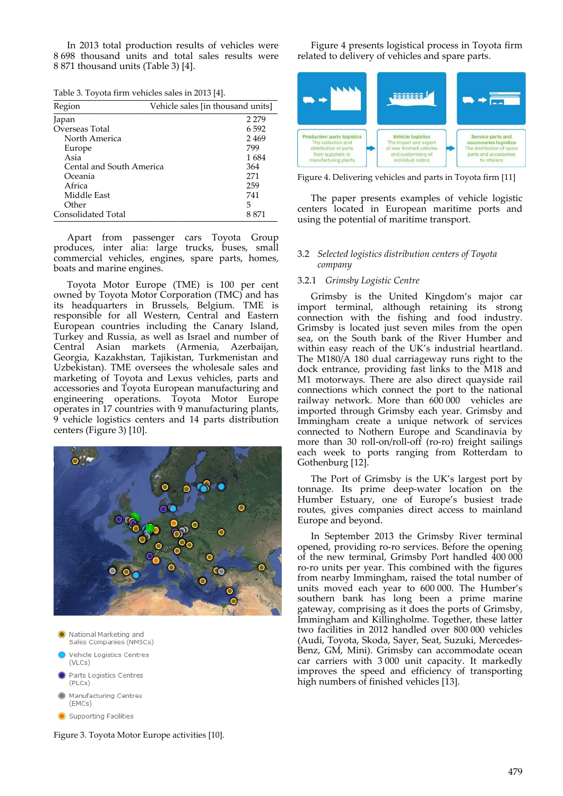In 2013 total production results of vehicles were 8 698 thousand units and total sales results were 8 871 thousand units (Table 3) [4].

| Table 3. Toyota firm vehicles sales in 2013 [4]. |  |
|--------------------------------------------------|--|
|                                                  |  |

| Region                   | Vehicle sales [in thousand units] |
|--------------------------|-----------------------------------|
| Japan                    | 2 2 7 9                           |
| Overseas Total           | 6.592                             |
| North America            | 2469                              |
| Europe                   | 799                               |
| Asia                     | 1684                              |
| Cental and South America | 364                               |
| Oceania                  | 271                               |
| Africa                   | 259                               |
| Middle East              | 741                               |
| Other                    | 5                                 |
| Consolidated Total       | 8 871                             |

Apart from passenger cars Toyota Group produces, inter alia: large trucks, buses, small commercial vehicles, engines, spare parts, homes, boats and marine engines.

Toyota Motor Europe (TME) is 100 per cent owned by Toyota Motor Corporation (TMC) and has its headquarters in Brussels, Belgium. TME is responsible for all Western, Central and Eastern European countries including the Canary Island, Turkey and Russia, as well as Israel and number of Central Asian markets (Armenia, Azerbaijan, Georgia, Kazakhstan, Tajikistan, Turkmenistan and Uzbekistan). TME oversees the wholesale sales and marketing of Toyota and Lexus vehicles, parts and accessories and Toyota European manufacturing and engineering operations. Toyota Motor Europe operates in 17 countries with 9 manufacturing plants, 9 vehicle logistics centers and 14 parts distribution centers (Figure 3) [10].



- A National Marketing and Sales Companies (NMSCs)
- Vehicle Logistics Centres (VLCs)
- Parts Logistics Centres (PLCs)
- Manufacturing Centres (EMCs)
- Supporting Facilities

Figure 3. Toyota Motor Europe activities [10].

Figure 4 presents logistical process in Toyota firm related to delivery of vehicles and spare parts.



Figure 4. Delivering vehicles and parts in Toyota firm [11]

The paper presents examples of vehicle logistic centers located in European maritime ports and using the potential of maritime transport.

# 3.2 *Selected logistics distribution centers of Toyota company*

# 3.2.1 *Grimsby Logistic Centre*

Grimsby is the United Kingdom's major car import terminal, although retaining its strong connection with the fishing and food industry. Grimsby is located just seven miles from the open sea, on the South bank of the River Humber and within easy reach of the UK's industrial heartland. The M180/A 180 dual carriageway runs right to the dock entrance, providing fast links to the M18 and M1 motorways. There are also direct quayside rail connections which connect the port to the national railway network. More than  $600\,000$  vehicles are imported through Grimsby each year. Grimsby and Immingham create a unique network of services connected to Nothern Europe and Scandinavia by more than 30 roll-on/roll-off (ro-ro) freight sailings each week to ports ranging from Rotterdam to Gothenburg [12].

The Port of Grimsby is the UK's largest port by tonnage. Its prime deep‐water location on the Humber Estuary, one of Europe's busiest trade routes, gives companies direct access to mainland Europe and beyond.

In September 2013 the Grimsby River terminal opened, providing ro‐ro services. Before the opening of the new terminal, Grimsby Port handled  $400\,000$ ro‐ro units per year. This combined with the figures from nearby Immingham, raised the total number of units moved each year to 600 000. The Humber's southern bank has long been a prime marine gateway, comprising as it does the ports of Grimsby, Immingham and Killingholme. Together, these latter two facilities in 2012 handled over 800 000 vehicles (Audi, Toyota, Skoda, Sayer, Seat, Suzuki, Mercedes‐ Benz, GM, Mini). Grimsby can accommodate ocean car carriers with 3 000 unit capacity. It markedly improves the speed and efficiency of transporting high numbers of finished vehicles [13].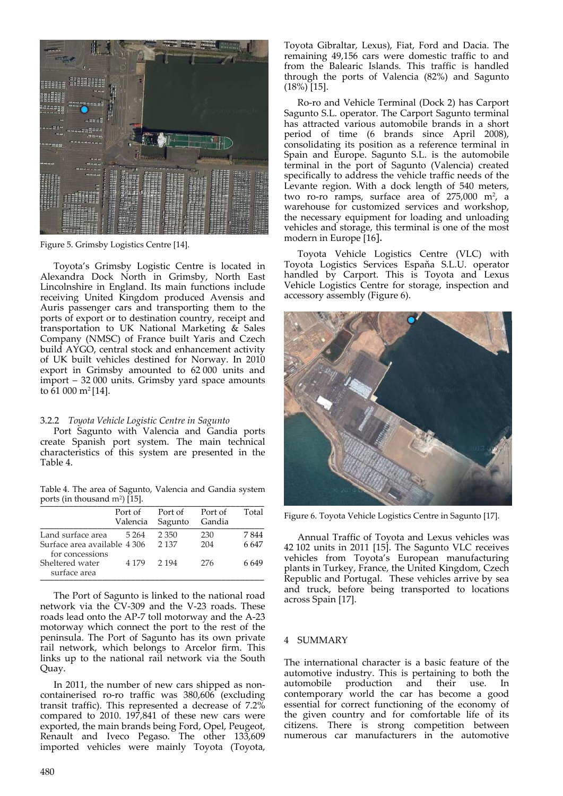

Figure 5. Grimsby Logistics Centre [14].

Toyota's Grimsby Logistic Centre is located in Alexandra Dock North in Grimsby, North East Lincolnshire in England. Its main functions include receiving United Kingdom produced Avensis and Auris passenger cars and transporting them to the ports of export or to destination country, receipt and transportation to UK National Marketing  $\&$  Sales Company (NMSC) of France built Yaris and Czech build AYGO, central stock and enhancement activity of UK built vehicles destined for Norway. In 2010 export in Grimsby amounted to 62 000 units and import – 32 000 units. Grimsby yard space amounts to 61 000 m2 [14].

#### 3.2.2 *Toyota Vehicle Logistic Centre in Sagunto*

Port Sagunto with Valencia and Gandia ports create Spanish port system. The main technical characteristics of this system are presented in the Table 4.

Table 4. The area of Sagunto, Valencia and Gandia system ports (in thousand  $m^2$ ) [15].

|                                                                            | Port of<br>Valencia | Port of Port of<br>Sagunto | Gandia     | Total           |
|----------------------------------------------------------------------------|---------------------|----------------------------|------------|-----------------|
| Land surface area<br>Surface area available 4 306 2 137<br>for concessions | 5 264               | 2.350                      | 230<br>204 | 7844<br>6 6 4 7 |
| Sheltered water<br>surface area                                            | 4 179 2 194         |                            | 276        | 6.649           |

The Port of Sagunto is linked to the national road network via the CV‐309 and the V‐23 roads. These roads lead onto the AP‐7 toll motorway and the A‐23 motorway which connect the port to the rest of the peninsula. The Port of Sagunto has its own private rail network, which belongs to Arcelor firm. This links up to the national rail network via the South Quay.

In 2011, the number of new cars shipped as noncontainerised ro‐ro traffic was 380,606 (excluding transit traffic). This represented a decrease of 7.2% compared to 2010. 197,841 of these new cars were exported, the main brands being Ford, Opel, Peugeot, Renault and Iveco Pegaso. The other 133,609 imported vehicles were mainly Toyota (Toyota,

Toyota Gibraltar, Lexus), Fiat, Ford and Dacia. The remaining 49,156 cars were domestic traffic to and from the Balearic Islands. This traffic is handled through the ports of Valencia (82%) and Sagunto  $(18\%)$ [15].

Ro‐ro and Vehicle Terminal (Dock 2) has Carport Sagunto S.L. operator. The Carport Sagunto terminal has attracted various automobile brands in a short period of time (6 brands since April 2008), consolidating its position as a reference terminal in Spain and Europe. Sagunto S.L. is the automobile terminal in the port of Sagunto (Valencia) created specifically to address the vehicle traffic needs of the Levante region. With a dock length of 540 meters, two ro-ro ramps, surface area of 275,000 m<sup>2</sup>, a warehouse for customized services and workshop, the necessary equipment for loading and unloading vehicles and storage, this terminal is one of the most modern in Europe [16].

Toyota Vehicle Logistics Centre (VLC) with Toyota Logistics Services Espaňa S.L.U. operator handled by Carport. This is Toyota and Lexus Vehicle Logistics Centre for storage, inspection and accessory assembly (Figure 6).



Figure 6. Toyota Vehicle Logistics Centre in Sagunto [17].

Annual Traffic of Toyota and Lexus vehicles was 42 102 units in 2011 [15]. The Sagunto VLC receives vehicles from Toyota's European manufacturing plants in Turkey, France, the United Kingdom, Czech Republic and Portugal. These vehicles arrive by sea and truck, before being transported to locations across Spain [17].

#### 4 SUMMARY

The international character is a basic feature of the automotive industry. This is pertaining to both the automobile production and their use. In contemporary world the car has become a good essential for correct functioning of the economy of the given country and for comfortable life of its citizens. There is strong competition between numerous car manufacturers in the automotive